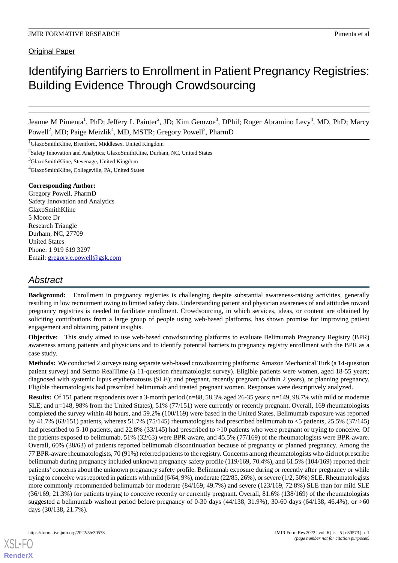# Identifying Barriers to Enrollment in Patient Pregnancy Registries: Building Evidence Through Crowdsourcing

Jeanne M Pimenta<sup>1</sup>, PhD; Jeffery L Painter<sup>2</sup>, JD; Kim Gemzoe<sup>3</sup>, DPhil; Roger Abramino Levy<sup>4</sup>, MD, PhD; Marcy Powell<sup>2</sup>, MD; Paige Meizlik<sup>4</sup>, MD, MSTR; Gregory Powell<sup>2</sup>, PharmD

<sup>1</sup>GlaxoSmithKline, Brentford, Middlesex, United Kingdom

<sup>2</sup>Safety Innovation and Analytics, GlaxoSmithKline, Durham, NC, United States

<sup>3</sup>GlaxoSmithKline, Stevenage, United Kingdom

<sup>4</sup>GlaxoSmithKline, Collegeville, PA, United States

#### **Corresponding Author:**

Gregory Powell, PharmD Safety Innovation and Analytics GlaxoSmithKline 5 Moore Dr Research Triangle Durham, NC, 27709 United States Phone: 1 919 619 3297 Email: [gregory.e.powell@gsk.com](mailto:gregory.e.powell@gsk.com)

# *Abstract*

**Background:** Enrollment in pregnancy registries is challenging despite substantial awareness-raising activities, generally resulting in low recruitment owing to limited safety data. Understanding patient and physician awareness of and attitudes toward pregnancy registries is needed to facilitate enrollment. Crowdsourcing, in which services, ideas, or content are obtained by soliciting contributions from a large group of people using web-based platforms, has shown promise for improving patient engagement and obtaining patient insights.

**Objective:** This study aimed to use web-based crowdsourcing platforms to evaluate Belimumab Pregnancy Registry (BPR) awareness among patients and physicians and to identify potential barriers to pregnancy registry enrollment with the BPR as a case study.

**Methods:** We conducted 2 surveys using separate web-based crowdsourcing platforms: Amazon Mechanical Turk (a 14-question patient survey) and Sermo RealTime (a 11-question rheumatologist survey). Eligible patients were women, aged 18-55 years; diagnosed with systemic lupus erythematosus (SLE); and pregnant, recently pregnant (within 2 years), or planning pregnancy. Eligible rheumatologists had prescribed belimumab and treated pregnant women. Responses were descriptively analyzed.

**Results:** Of 151 patient respondents over a 3-month period (n=88, 58.3% aged 26-35 years; n=149, 98.7% with mild or moderate SLE; and n=148, 98% from the United States), 51% (77/151) were currently or recently pregnant. Overall, 169 rheumatologists completed the survey within 48 hours, and 59.2% (100/169) were based in the United States. Belimumab exposure was reported by 41.7% (63/151) patients, whereas 51.7% (75/145) rheumatologists had prescribed belimumab to <5 patients, 25.5% (37/145) had prescribed to 5-10 patients, and 22.8% (33/145) had prescribed to  $>10$  patients who were pregnant or trying to conceive. Of the patients exposed to belimumab, 51% (32/63) were BPR-aware, and 45.5% (77/169) of the rheumatologists were BPR-aware. Overall, 60% (38/63) of patients reported belimumab discontinuation because of pregnancy or planned pregnancy. Among the 77 BPR-aware rheumatologists, 70 (91%) referred patients to the registry. Concerns among rheumatologists who did not prescribe belimumab during pregnancy included unknown pregnancy safety profile (119/169, 70.4%), and 61.5% (104/169) reported their patients' concerns about the unknown pregnancy safety profile. Belimumab exposure during or recently after pregnancy or while trying to conceive was reported in patients with mild (6/64, 9%), moderate (22/85, 26%), or severe (1/2, 50%) SLE. Rheumatologists more commonly recommended belimumab for moderate (84/169, 49.7%) and severe (123/169, 72.8%) SLE than for mild SLE (36/169, 21.3%) for patients trying to conceive recently or currently pregnant. Overall, 81.6% (138/169) of the rheumatologists suggested a belimumab washout period before pregnancy of 0-30 days  $(44/138, 31.9\%)$ , 30-60 days  $(64/138, 46.4\%)$ , or  $>60$ days (30/138, 21.7%).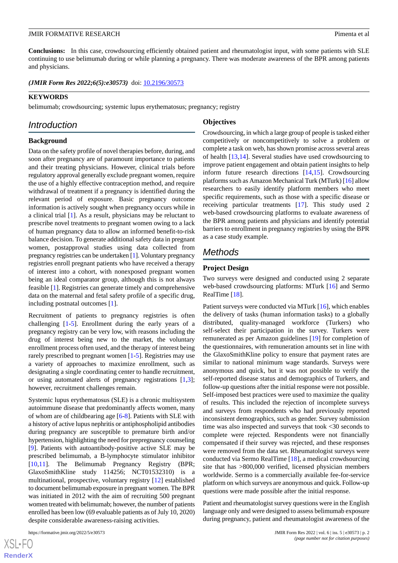**Conclusions:** In this case, crowdsourcing efficiently obtained patient and rheumatologist input, with some patients with SLE continuing to use belimumab during or while planning a pregnancy. There was moderate awareness of the BPR among patients and physicians.

(JMIR Form Res 2022;6(5):e30573) doi: [10.2196/30573](http://dx.doi.org/10.2196/30573)

#### **KEYWORDS**

belimumab; crowdsourcing; systemic lupus erythematosus; pregnancy; registry

# *Introduction*

# **Background**

Data on the safety profile of novel therapies before, during, and soon after pregnancy are of paramount importance to patients and their treating physicians. However, clinical trials before regulatory approval generally exclude pregnant women, require the use of a highly effective contraception method, and require withdrawal of treatment if a pregnancy is identified during the relevant period of exposure. Basic pregnancy outcome information is actively sought when pregnancy occurs while in a clinical trial [[1\]](#page-10-0). As a result, physicians may be reluctant to prescribe novel treatments to pregnant women owing to a lack of human pregnancy data to allow an informed benefit-to-risk balance decision. To generate additional safety data in pregnant women, postapproval studies using data collected from pregnancy registries can be undertaken [\[1\]](#page-10-0). Voluntary pregnancy registries enroll pregnant patients who have received a therapy of interest into a cohort, with nonexposed pregnant women being an ideal comparator group, although this is not always feasible [\[1](#page-10-0)]. Registries can generate timely and comprehensive data on the maternal and fetal safety profile of a specific drug, including postnatal outcomes [[1\]](#page-10-0).

Recruitment of patients to pregnancy registries is often challenging [[1](#page-10-0)[-5](#page-10-1)]. Enrollment during the early years of a pregnancy registry can be very low, with reasons including the drug of interest being new to the market, the voluntary enrollment process often used, and the therapy of interest being rarely prescribed to pregnant women [[1](#page-10-0)[-5](#page-10-1)]. Registries may use a variety of approaches to maximize enrollment, such as designating a single coordinating center to handle recruitment, or using automated alerts of pregnancy registrations [\[1](#page-10-0)[,3\]](#page-10-2); however, recruitment challenges remain.

Systemic lupus erythematosus (SLE) is a chronic multisystem autoimmune disease that predominantly affects women, many of whom are of childbearing age [\[6](#page-10-3)[-8](#page-10-4)]. Patients with SLE with a history of active lupus nephritis or antiphospholipid antibodies during pregnancy are susceptible to premature birth and/or hypertension, highlighting the need for prepregnancy counseling [[9\]](#page-10-5). Patients with autoantibody-positive active SLE may be prescribed belimumab, a B-lymphocyte stimulator inhibitor [[10](#page-10-6)[,11](#page-10-7)]. The Belimumab Pregnancy Registry (BPR; GlaxoSmithKline study 114256; NCT01532310) is a multinational, prospective, voluntary registry [[12\]](#page-10-8) established to document belimumab exposure in pregnant women. The BPR was initiated in 2012 with the aim of recruiting 500 pregnant women treated with belimumab; however, the number of patients enrolled has been low (69 evaluable patients as of July 10, 2020) despite considerable awareness-raising activities.

#### **Objectives**

Crowdsourcing, in which a large group of people is tasked either competitively or noncompetitively to solve a problem or complete a task on web, has shown promise across several areas of health [[13,](#page-10-9)[14](#page-10-10)]. Several studies have used crowdsourcing to improve patient engagement and obtain patient insights to help inform future research directions [[14,](#page-10-10)[15](#page-10-11)]. Crowdsourcing platforms such as Amazon Mechanical Turk (MTurk) [\[16\]](#page-10-12) allow researchers to easily identify platform members who meet specific requirements, such as those with a specific disease or receiving particular treatments [\[17](#page-10-13)]. This study used 2 web-based crowdsourcing platforms to evaluate awareness of the BPR among patients and physicians and identify potential barriers to enrollment in pregnancy registries by using the BPR as a case study example.

# *Methods*

#### **Project Design**

Two surveys were designed and conducted using 2 separate web-based crowdsourcing platforms: MTurk [[16\]](#page-10-12) and Sermo RealTime [[18\]](#page-10-14).

Patient surveys were conducted via MTurk [\[16](#page-10-12)], which enables the delivery of tasks (human information tasks) to a globally distributed, quality-managed workforce (Turkers) who self-select their participation in the survey. Turkers were remunerated as per Amazon guidelines [\[19](#page-10-15)] for completion of the questionnaires, with remuneration amounts set in line with the GlaxoSmithKline policy to ensure that payment rates are similar to national minimum wage standards. Surveys were anonymous and quick, but it was not possible to verify the self-reported disease status and demographics of Turkers, and follow-up questions after the initial response were not possible. Self-imposed best practices were used to maximize the quality of results. This included the rejection of incomplete surveys and surveys from respondents who had previously reported inconsistent demographics, such as gender. Survey submission time was also inspected and surveys that took <30 seconds to complete were rejected. Respondents were not financially compensated if their survey was rejected, and these responses were removed from the data set. Rheumatologist surveys were conducted via Sermo RealTime [[18\]](#page-10-14), a medical crowdsourcing site that has >800,000 verified, licensed physician members worldwide. Sermo is a commercially available fee-for-service platform on which surveys are anonymous and quick. Follow-up questions were made possible after the initial response.

Patient and rheumatologist survey questions were in the English language only and were designed to assess belimumab exposure during pregnancy, patient and rheumatologist awareness of the

 $XS$ -FO **[RenderX](http://www.renderx.com/)**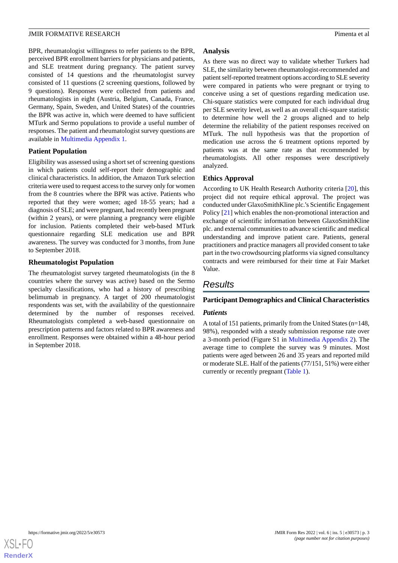BPR, rheumatologist willingness to refer patients to the BPR, perceived BPR enrollment barriers for physicians and patients, and SLE treatment during pregnancy. The patient survey consisted of 14 questions and the rheumatologist survey consisted of 11 questions (2 screening questions, followed by 9 questions). Responses were collected from patients and rheumatologists in eight (Austria, Belgium, Canada, France, Germany, Spain, Sweden, and United States) of the countries the BPR was active in, which were deemed to have sufficient MTurk and Sermo populations to provide a useful number of responses. The patient and rheumatologist survey questions are available in [Multimedia Appendix 1](#page-10-16).

#### **Patient Population**

Eligibility was assessed using a short set of screening questions in which patients could self-report their demographic and clinical characteristics. In addition, the Amazon Turk selection criteria were used to request access to the survey only for women from the 8 countries where the BPR was active. Patients who reported that they were women; aged 18-55 years; had a diagnosis of SLE; and were pregnant, had recently been pregnant (within 2 years), or were planning a pregnancy were eligible for inclusion. Patients completed their web-based MTurk questionnaire regarding SLE medication use and BPR awareness. The survey was conducted for 3 months, from June to September 2018.

### **Rheumatologist Population**

The rheumatologist survey targeted rheumatologists (in the 8 countries where the survey was active) based on the Sermo specialty classifications, who had a history of prescribing belimumab in pregnancy. A target of 200 rheumatologist respondents was set, with the availability of the questionnaire determined by the number of responses received. Rheumatologists completed a web-based questionnaire on prescription patterns and factors related to BPR awareness and enrollment. Responses were obtained within a 48-hour period in September 2018.

### **Analysis**

As there was no direct way to validate whether Turkers had SLE, the similarity between rheumatologist-recommended and patient self-reported treatment options according to SLE severity were compared in patients who were pregnant or trying to conceive using a set of questions regarding medication use. Chi-square statistics were computed for each individual drug per SLE severity level, as well as an overall chi-square statistic to determine how well the 2 groups aligned and to help determine the reliability of the patient responses received on MTurk. The null hypothesis was that the proportion of medication use across the 6 treatment options reported by patients was at the same rate as that recommended by rheumatologists. All other responses were descriptively analyzed.

### **Ethics Approval**

According to UK Health Research Authority criteria [[20\]](#page-11-0), this project did not require ethical approval. The project was conducted under GlaxoSmithKline plc.'s Scientific Engagement Policy [[21\]](#page-11-1) which enables the non-promotional interaction and exchange of scientific information between GlaxoSmithKline plc. and external communities to advance scientific and medical understanding and improve patient care. Patients, general practitioners and practice managers all provided consent to take part in the two crowdsourcing platforms via signed consultancy contracts and were reimbursed for their time at Fair Market Value.

# *Results*

# **Participant Demographics and Clinical Characteristics**

# *Patients*

A total of 151 patients, primarily from the United States (n=148, 98%), responded with a steady submission response rate over a 3-month period (Figure S1 in [Multimedia Appendix 2\)](#page-10-17). The average time to complete the survey was 9 minutes. Most patients were aged between 26 and 35 years and reported mild or moderate SLE. Half of the patients (77/151, 51%) were either currently or recently pregnant [\(Table 1\)](#page-3-0).

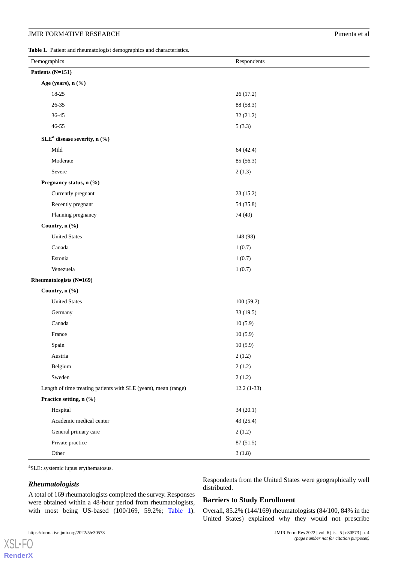#### **JMIR FORMATIVE RESEARCH Pimenta et al. Pimenta et al. Pimenta et al. Pimenta et al. Pimenta et al. Pimenta et al. Pimenta et al. Pimenta et al. Pimenta et al. Pimenta et al. Pimenta et al. Pimenta**

<span id="page-3-0"></span>**Table 1.** Patient and rheumatologist demographics and characteristics.

| Patients (N=151)                                                |              |
|-----------------------------------------------------------------|--------------|
| Age (years), n (%)                                              |              |
| 18-25                                                           | 26(17.2)     |
| $26 - 35$                                                       | 88 (58.3)    |
| $36 - 45$                                                       | 32(21.2)     |
| $46 - 55$                                                       | 5(3.3)       |
| SLE <sup>a</sup> disease severity, n (%)                        |              |
| Mild                                                            | 64 (42.4)    |
| Moderate                                                        | 85 (56.3)    |
| Severe                                                          | 2(1.3)       |
| Pregnancy status, n (%)                                         |              |
| Currently pregnant                                              | 23 (15.2)    |
| Recently pregnant                                               | 54 (35.8)    |
| Planning pregnancy                                              | 74 (49)      |
| Country, n (%)                                                  |              |
| <b>United States</b>                                            | 148 (98)     |
| Canada                                                          | 1(0.7)       |
| Estonia                                                         | 1(0.7)       |
| Venezuela                                                       | 1(0.7)       |
| Rheumatologists (N=169)                                         |              |
| Country, n (%)                                                  |              |
| <b>United States</b>                                            | 100(59.2)    |
| Germany                                                         | 33 (19.5)    |
| Canada                                                          | 10(5.9)      |
| France                                                          | 10(5.9)      |
| Spain                                                           | 10(5.9)      |
| Austria                                                         | 2(1.2)       |
| Belgium                                                         | 2(1.2)       |
| Sweden                                                          | 2(1.2)       |
| Length of time treating patients with SLE (years), mean (range) | $12.2(1-33)$ |
| Practice setting, n (%)                                         |              |
| Hospital                                                        | 34(20.1)     |
| Academic medical center                                         | 43 (25.4)    |
| General primary care                                            | 2(1.2)       |
| Private practice                                                | 87 (51.5)    |
| Other                                                           | 3(1.8)       |

<sup>a</sup>SLE: systemic lupus erythematosus.

#### *Rheumatologists*

[XSL](http://www.w3.org/Style/XSL)•FO **[RenderX](http://www.renderx.com/)** Respondents from the United States were geographically well distributed.

A total of 169 rheumatologists completed the survey. Responses were obtained within a 48-hour period from rheumatologists, with most being US-based (100/169, 59.2%; [Table 1\)](#page-3-0).

# **Barriers to Study Enrollment**

Overall, 85.2% (144/169) rheumatologists (84/100, 84% in the United States) explained why they would not prescribe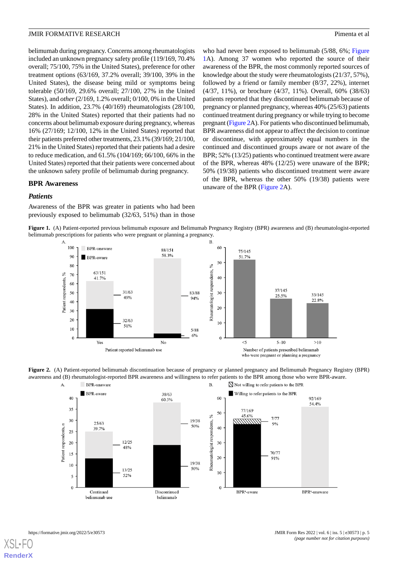belimumab during pregnancy. Concerns among rheumatologists included an unknown pregnancy safety profile (119/169, 70.4% overall; 75/100, 75% in the United States), preference for other treatment options (63/169, 37.2% overall; 39/100, 39% in the United States), the disease being mild or symptoms being tolerable (50/169, 29.6% overall; 27/100, 27% in the United States), and *other* (2/169, 1.2% overall; 0/100, 0% in the United States). In addition, 23.7% (40/169) rheumatologists (28/100, 28% in the United States) reported that their patients had no concerns about belimumab exposure during pregnancy, whereas 16% (27/169; 12/100, 12% in the United States) reported that their patients preferred other treatments, 23.1% (39/169; 21/100, 21% in the United States) reported that their patients had a desire to reduce medication, and 61.5% (104/169; 66/100, 66% in the United States) reported that their patients were concerned about the unknown safety profile of belimumab during pregnancy.

who had never been exposed to belimumab (5/88, 6%; [Figure](#page-4-0) [1A](#page-4-0)). Among 37 women who reported the source of their awareness of the BPR, the most commonly reported sources of knowledge about the study were rheumatologists (21/37, 57%), followed by a friend or family member (8/37, 22%), internet (4/37, 11%), or brochure (4/37, 11%). Overall, 60% (38/63) patients reported that they discontinued belimumab because of pregnancy or planned pregnancy, whereas 40% (25/63) patients continued treatment during pregnancy or while trying to become pregnant [\(Figure 2A](#page-4-1)). For patients who discontinued belimumab, BPR awareness did not appear to affect the decision to continue or discontinue, with approximately equal numbers in the continued and discontinued groups aware or not aware of the BPR; 52% (13/25) patients who continued treatment were aware of the BPR, whereas 48% (12/25) were unaware of the BPR; 50% (19/38) patients who discontinued treatment were aware of the BPR, whereas the other 50% (19/38) patients were unaware of the BPR [\(Figure 2A](#page-4-1)).

#### **BPR Awareness**

#### *Patients*

<span id="page-4-0"></span>Awareness of the BPR was greater in patients who had been previously exposed to belimumab (32/63, 51%) than in those

**Figure 1.** (A) Patient-reported previous belimumab exposure and Belimumab Pregnancy Registry (BPR) awareness and (B) rheumatologist-reported belimumab prescriptions for patients who were pregnant or planning a pregnancy.



<span id="page-4-1"></span>

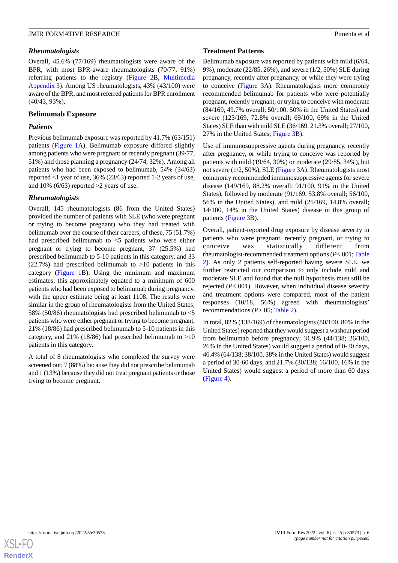#### *Rheumatologists*

Overall, 45.6% (77/169) rheumatologists were aware of the BPR, with most BPR-aware rheumatologists (70/77, 91%) referring patients to the registry ([Figure 2B](#page-4-1), [Multimedia](#page-10-18) [Appendix 3\)](#page-10-18). Among US rheumatologists, 43% (43/100) were aware of the BPR, and most referred patients for BPR enrollment (40/43, 93%).

#### **Belimumab Exposure**

#### *Patients*

Previous belimumab exposure was reported by 41.7% (63/151) patients [\(Figure 1A](#page-4-0)). Belimumab exposure differed slightly among patients who were pregnant or recently pregnant (39/77, 51%) and those planning a pregnancy (24/74, 32%). Among all patients who had been exposed to belimumab, 54% (34/63) reported <1 year of use, 36% (23/63) reported 1-2 years of use, and 10%  $(6/63)$  reported >2 years of use.

### *Rheumatologists*

Overall, 145 rheumatologists (86 from the United States) provided the number of patients with SLE (who were pregnant or trying to become pregnant) who they had treated with belimumab over the course of their careers; of these, 75 (51.7%) had prescribed belimumab to <5 patients who were either pregnant or trying to become pregnant, 37 (25.5%) had prescribed belimumab to 5-10 patients in this category, and 33  $(22.7%)$  had prescribed belimumab to  $>10$  patients in this category ([Figure 1](#page-4-0)B). Using the minimum and maximum estimates, this approximately equated to a minimum of 600 patients who had been exposed to belimumab during pregnancy, with the upper estimate being at least 1108. The results were similar in the group of rheumatologists from the United States; 58% (50/86) rheumatologists had prescribed belimumab to <5 patients who were either pregnant or trying to become pregnant, 21% (18/86) had prescribed belimumab to 5-10 patients in this category, and 21% (18/86) had prescribed belimumab to  $>10$ patients in this category.

A total of 8 rheumatologists who completed the survey were screened out; 7 (88%) because they did not prescribe belimumab and 1 (13%) because they did not treat pregnant patients or those trying to become pregnant.

#### **Treatment Patterns**

Belimumab exposure was reported by patients with mild (6/64, 9%), moderate (22/85, 26%), and severe (1/2, 50%) SLE during pregnancy, recently after pregnancy, or while they were trying to conceive [\(Figure 3](#page-6-0)A). Rheumatologists more commonly recommended belimumab for patients who were potentially pregnant, recently pregnant, or trying to conceive with moderate (84/169, 49.7% overall; 50/100, 50% in the United States) and severe (123/169, 72.8% overall; 69/100, 69% in the United States) SLE than with mild SLE (36/169, 21.3% overall; 27/100, 27% in the United States; [Figure 3B](#page-6-0)).

Use of immunosuppressive agents during pregnancy, recently after pregnancy, or while trying to conceive was reported by patients with mild (19/64, 30%) or moderate (29/85, 34%), but not severe (1/2, 50%), SLE ([Figure 3A](#page-6-0)). Rheumatologists most commonly recommended immunosuppressive agents for severe disease (149/169, 88.2% overall; 91/100, 91% in the United States), followed by moderate (91/169, 53.8% overall; 56/100, 56% in the United States), and mild (25/169, 14.8% overall; 14/100, 14% in the United States) disease in this group of patients ([Figure 3](#page-6-0)B).

Overall, patient-reported drug exposure by disease severity in patients who were pregnant, recently pregnant, or trying to conceive was statistically different from rheumatologist-recommended treatment options (*P*<.001; [Table](#page-7-0) [2\)](#page-7-0). As only 2 patients self-reported having severe SLE, we further restricted our comparison to only include mild and moderate SLE and found that the null hypothesis must still be rejected (*P*<.001). However, when individual disease severity and treatment options were compared, most of the patient responses (10/18, 56%) agreed with rheumatologists' recommendations (*P*>.05; [Table 2\)](#page-7-0).

In total, 82% (138/169) of rheumatologists (80/100, 80% in the United States) reported that they would suggest a washout period from belimumab before pregnancy; 31.9% (44/138; 26/100, 26% in the United States) would suggest a period of 0-30 days, 46.4% (64/138; 38/100, 38% in the United States) would suggest a period of 30-60 days, and 21.7% (30/138; 16/100, 16% in the United States) would suggest a period of more than 60 days ([Figure 4\)](#page-7-1).

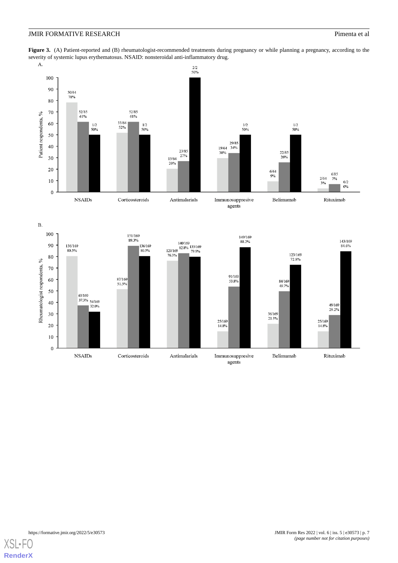### **JMIR FORMATIVE RESEARCH Pimenta et al. Pimenta et al. Pimenta et al. Pimenta et al. Pimenta et al. Pimenta et al. Pimenta et al. Pimenta et al. Pimenta et al. Pimenta et al. Pimenta et al. Pimenta**

<span id="page-6-0"></span>**Figure 3.** (A) Patient-reported and (B) rheumatologist-recommended treatments during pregnancy or while planning a pregnancy, according to the severity of systemic lupus erythematosus. NSAID: nonsteroidal anti-inflammatory drug.<br>A.



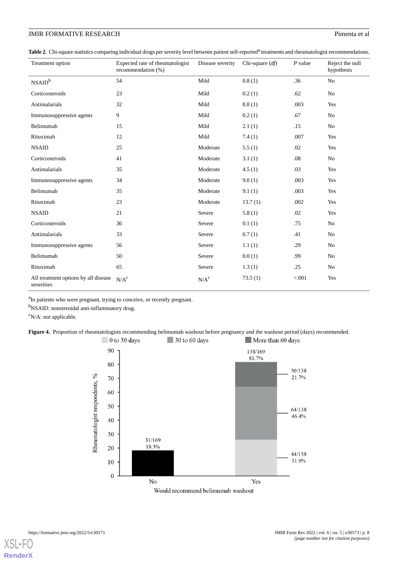# **JMIR FORMATIVE RESEARCH** Pimenta et al.

<span id="page-7-0"></span>Table 2. Chi-square statistics comparing individual drugs per severity level between patient self-reported<sup>a</sup> treatments and rheumatologist recommendations.

| Treatment option                                   | Expected rate of rheumatologist<br>recommendation (%) | Disease severity | Chi-square $(df)$ | $P$ value | Reject the null<br>hypothesis |
|----------------------------------------------------|-------------------------------------------------------|------------------|-------------------|-----------|-------------------------------|
| NSAID <sup>b</sup>                                 | 54                                                    | Mild             | 0.8(1)            | .36       | No                            |
| Corticosteroids                                    | 23                                                    | Mild             | 0.2(1)            | .62       | No                            |
| Antimalarials                                      | 32                                                    | Mild             | 8.8(1)            | .003      | Yes                           |
| Immunosuppressive agents                           | 9                                                     | Mild             | 0.2(1)            | .67       | No                            |
| Belimumab                                          | 15                                                    | Mild             | 2.1(1)            | .15       | No                            |
| Rituximab                                          | 12                                                    | Mild             | 7.4(1)            | .007      | Yes                           |
| <b>NSAID</b>                                       | 25                                                    | Moderate         | 5.5(1)            | .02       | Yes                           |
| Corticosteroids                                    | 41                                                    | Moderate         | 3.1(1)            | .08       | No                            |
| Antimalarials                                      | 35                                                    | Moderate         | 4.5(1)            | .03       | Yes                           |
| Immunosuppressive agents                           | 34                                                    | Moderate         | 9.0(1)            | .003      | Yes                           |
| Belimumab                                          | 35                                                    | Moderate         | 9.1(1)            | .003      | Yes                           |
| Rituximab                                          | 23                                                    | Moderate         | 13.7(1)           | .002      | Yes                           |
| <b>NSAID</b>                                       | 21                                                    | Severe           | 5.8(1)            | .02       | Yes                           |
| Corticosteroids                                    | 36                                                    | Severe           | 0.1(1)            | .75       | No                            |
| Antimalarials                                      | 33                                                    | Severe           | 0.7(1)            | .41       | No                            |
| Immunosuppressive agents                           | 56                                                    | Severe           | 1.1(1)            | .29       | No                            |
| Belimumab                                          | 50                                                    | Severe           | 0.0(1)            | .99       | No                            |
| Rituximab                                          | 65                                                    | Severe           | 1.3(1)            | .25       | No                            |
| All treatment options by all disease<br>severities | N/A <sup>c</sup>                                      | $N/A^c$          | 73.5(1)           | < 0.001   | Yes                           |

<span id="page-7-1"></span><sup>a</sup>In patients who were pregnant, trying to conceive, or recently pregnant.

b<sub>NSAID</sub>: nonsteroidal anti-inflammatory drug.

 $\rm ^{c}N/A$ : not applicable.

**Figure 4.** Proportion of rheumatologists recommending belimumab washout before pregnancy and the washout period (days) recommended.



Would recommend belimumab washout

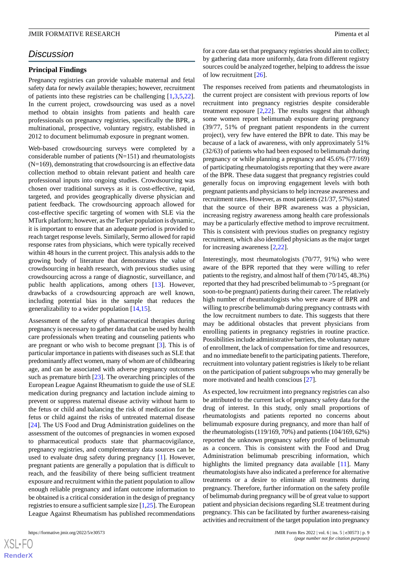# *Discussion*

#### **Principal Findings**

Pregnancy registries can provide valuable maternal and fetal safety data for newly available therapies; however, recruitment of patients into these registries can be challenging [\[1](#page-10-0),[3](#page-10-2)[,5](#page-10-1),[22\]](#page-11-2). In the current project, crowdsourcing was used as a novel method to obtain insights from patients and health care professionals on pregnancy registries, specifically the BPR, a multinational, prospective, voluntary registry, established in 2012 to document belimumab exposure in pregnant women.

Web-based crowdsourcing surveys were completed by a considerable number of patients (N=151) and rheumatologists (N=169), demonstrating that crowdsourcing is an effective data collection method to obtain relevant patient and health care professional inputs into ongoing studies. Crowdsourcing was chosen over traditional surveys as it is cost-effective, rapid, targeted, and provides geographically diverse physician and patient feedback. The crowdsourcing approach allowed for cost-effective specific targeting of women with SLE via the MTurk platform; however, as the Turker population is dynamic, it is important to ensure that an adequate period is provided to reach target response levels. Similarly, Sermo allowed for rapid response rates from physicians, which were typically received within 48 hours in the current project. This analysis adds to the growing body of literature that demonstrates the value of crowdsourcing in health research, with previous studies using crowdsourcing across a range of diagnostic, surveillance, and public health applications, among others [\[13](#page-10-9)]. However, drawbacks of a crowdsourcing approach are well known, including potential bias in the sample that reduces the generalizability to a wider population [\[14](#page-10-10),[15\]](#page-10-11).

Assessment of the safety of pharmaceutical therapies during pregnancy is necessary to gather data that can be used by health care professionals when treating and counseling patients who are pregnant or who wish to become pregnant [[3\]](#page-10-2). This is of particular importance in patients with diseases such as SLE that predominantly affect women, many of whom are of childbearing age, and can be associated with adverse pregnancy outcomes such as premature birth [\[23](#page-11-3)]. The overarching principles of the European League Against Rheumatism to guide the use of SLE medication during pregnancy and lactation include aiming to prevent or suppress maternal disease activity without harm to the fetus or child and balancing the risk of medication for the fetus or child against the risks of untreated maternal disease [[24\]](#page-11-4). The US Food and Drug Administration guidelines on the assessment of the outcomes of pregnancies in women exposed to pharmaceutical products state that pharmacovigilance, pregnancy registries, and complementary data sources can be used to evaluate drug safety during pregnancy [\[1](#page-10-0)]. However, pregnant patients are generally a population that is difficult to reach, and the feasibility of there being sufficient treatment exposure and recruitment within the patient population to allow enough reliable pregnancy and infant outcome information to be obtained is a critical consideration in the design of pregnancy registries to ensure a sufficient sample size [\[1](#page-10-0)[,25](#page-11-5)]. The European League Against Rheumatism has published recommendations

for a core data set that pregnancy registries should aim to collect; by gathering data more uniformly, data from different registry sources could be analyzed together, helping to address the issue of low recruitment [[26\]](#page-11-6).

The responses received from patients and rheumatologists in the current project are consistent with previous reports of low recruitment into pregnancy registries despite considerable treatment exposure [\[2](#page-10-19),[22\]](#page-11-2). The results suggest that although some women report belimumab exposure during pregnancy (39/77, 51% of pregnant patient respondents in the current project), very few have entered the BPR to date. This may be because of a lack of awareness, with only approximately 51% (32/63) of patients who had been exposed to belimumab during pregnancy or while planning a pregnancy and 45.6% (77/169) of participating rheumatologists reporting that they were aware of the BPR. These data suggest that pregnancy registries could generally focus on improving engagement levels with both pregnant patients and physicians to help increase awareness and recruitment rates. However, as most patients (21/37, 57%) stated that the source of their BPR awareness was a physician, increasing registry awareness among health care professionals may be a particularly effective method to improve recruitment. This is consistent with previous studies on pregnancy registry recruitment, which also identified physicians as the major target for increasing awareness [\[2](#page-10-19),[22\]](#page-11-2).

Interestingly, most rheumatologists (70/77, 91%) who were aware of the BPR reported that they were willing to refer patients to the registry, and almost half of them (70/145, 48.3%) reported that they had prescribed belimumab to >5 pregnant (or soon-to-be pregnant) patients during their career. The relatively high number of rheumatologists who were aware of BPR and willing to prescribe belimumab during pregnancy contrasts with the low recruitment numbers to date. This suggests that there may be additional obstacles that prevent physicians from enrolling patients in pregnancy registries in routine practice. Possibilities include administrative barriers, the voluntary nature of enrollment, the lack of compensation for time and resources, and no immediate benefit to the participating patients. Therefore, recruitment into voluntary patient registries is likely to be reliant on the participation of patient subgroups who may generally be more motivated and health conscious [[27\]](#page-11-7).

As expected, low recruitment into pregnancy registries can also be attributed to the current lack of pregnancy safety data for the drug of interest. In this study, only small proportions of rheumatologists and patients reported no concerns about belimumab exposure during pregnancy, and more than half of the rheumatologists (119/169, 70%) and patients (104/169, 62%) reported the unknown pregnancy safety profile of belimumab as a concern. This is consistent with the Food and Drug Administration belimumab prescribing information, which highlights the limited pregnancy data available [\[11](#page-10-7)]. Many rheumatologists have also indicated a preference for alternative treatments or a desire to eliminate all treatments during pregnancy. Therefore, further information on the safety profile of belimumab during pregnancy will be of great value to support patient and physician decisions regarding SLE treatment during pregnancy. This can be facilitated by further awareness-raising activities and recruitment of the target population into pregnancy

 $XS$ -FO **[RenderX](http://www.renderx.com/)**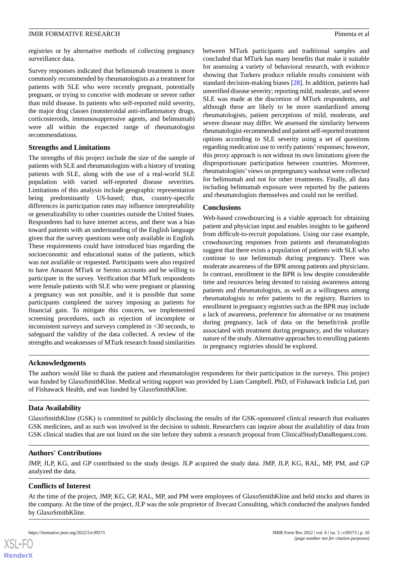registries or by alternative methods of collecting pregnancy surveillance data.

Survey responses indicated that belimumab treatment is more commonly recommended by rheumatologists as a treatment for patients with SLE who were recently pregnant, potentially pregnant, or trying to conceive with moderate or severe rather than mild disease. In patients who self-reported mild severity, the major drug classes (nonsteroidal anti-inflammatory drugs, corticosteroids, immunosuppressive agents, and belimumab) were all within the expected range of rheumatologist recommendations.

# **Strengths and Limitations**

The strengths of this project include the size of the sample of patients with SLE and rheumatologists with a history of treating patients with SLE, along with the use of a real-world SLE population with varied self-reported disease severities. Limitations of this analysis include geographic representation being predominantly US-based; thus, country-specific differences in participation rates may influence interpretability or generalizability to other countries outside the United States. Respondents had to have internet access, and there was a bias toward patients with an understanding of the English language given that the survey questions were only available in English. These requirements could have introduced bias regarding the socioeconomic and educational status of the patients, which was not available or requested. Participants were also required to have Amazon MTurk or Sermo accounts and be willing to participate in the survey. Verification that MTurk respondents were female patients with SLE who were pregnant or planning a pregnancy was not possible, and it is possible that some participants completed the survey imposing as patients for financial gain. To mitigate this concern, we implemented screening procedures, such as rejection of incomplete or inconsistent surveys and surveys completed in <30 seconds, to safeguard the validity of the data collected. A review of the strengths and weaknesses of MTurk research found similarities

between MTurk participants and traditional samples and concluded that MTurk has many benefits that make it suitable for assessing a variety of behavioral research, with evidence showing that Turkers produce reliable results consistent with standard decision-making biases [[28\]](#page-11-8). In addition, patients had unverified disease severity; reporting mild, moderate, and severe SLE was made at the discretion of MTurk respondents, and although these are likely to be more standardized among rheumatologists, patient perceptions of mild, moderate, and severe disease may differ. We assessed the similarity between rheumatologist-recommended and patient self-reported treatment options according to SLE severity using a set of questions regarding medication use to verify patients'responses; however, this proxy approach is not without its own limitations given the disproportionate participation between countries. Moreover, rheumatologists'views on prepregnancy washout were collected for belimumab and not for other treatments. Finally, all data including belimumab exposure were reported by the patients and rheumatologists themselves and could not be verified.

### **Conclusions**

Web-based crowdsourcing is a viable approach for obtaining patient and physician input and enables insights to be gathered from difficult-to-recruit populations. Using our case example, crowdsourcing responses from patients and rheumatologists suggest that there exists a population of patients with SLE who continue to use belimumab during pregnancy. There was moderate awareness of the BPR among patients and physicians. In contrast, enrollment in the BPR is low despite considerable time and resources being devoted to raising awareness among patients and rheumatologists, as well as a willingness among rheumatologists to refer patients to the registry. Barriers to enrollment in pregnancy registries such as the BPR may include a lack of awareness, preference for alternative or no treatment during pregnancy, lack of data on the benefit/risk profile associated with treatment during pregnancy, and the voluntary nature of the study. Alternative approaches to enrolling patients in pregnancy registries should be explored.

# **Acknowledgments**

The authors would like to thank the patient and rheumatologist respondents for their participation in the surveys. This project was funded by GlaxoSmithKline. Medical writing support was provided by Liam Campbell, PhD, of Fishawack Indicia Ltd, part of Fishawack Health, and was funded by GlaxoSmithKline.

#### **Data Availability**

GlaxoSmithKline (GSK) is committed to publicly disclosing the results of the GSK-sponsored clinical research that evaluates GSK medicines, and as such was involved in the decision to submit. Researchers can inquire about the availability of data from GSK clinical studies that are not listed on the site before they submit a research proposal from ClinicalStudyDataRequest.com.

# **Authors' Contributions**

JMP, JLP, KG, and GP contributed to the study design. JLP acquired the study data. JMP, JLP, KG, RAL, MP, PM, and GP analyzed the data.

# **Conflicts of Interest**

At the time of the project, JMP, KG, GP, RAL, MP, and PM were employees of GlaxoSmithKline and held stocks and shares in the company. At the time of the project, JLP was the sole proprietor of Jivecast Consulting, which conducted the analyses funded by GlaxoSmithKline.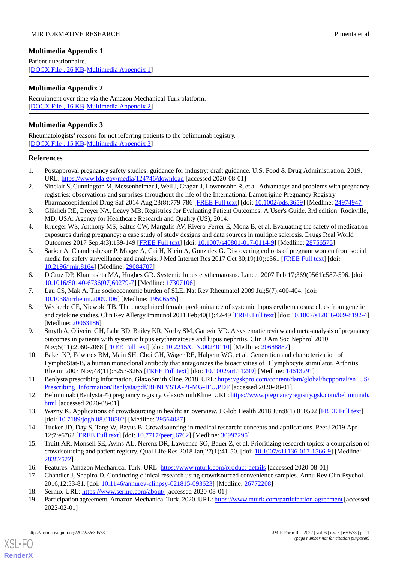# <span id="page-10-16"></span>**Multimedia Appendix 1**

Patient questionnaire. [[DOCX File , 26 KB](https://jmir.org/api/download?alt_name=formative_v6i5e30573_app1.docx&filename=52d56faee67aaea4f4e7938586fad6f6.docx)-[Multimedia Appendix 1\]](https://jmir.org/api/download?alt_name=formative_v6i5e30573_app1.docx&filename=52d56faee67aaea4f4e7938586fad6f6.docx)

# <span id="page-10-17"></span>**Multimedia Appendix 2**

Recruitment over time via the Amazon Mechanical Turk platform. [[DOCX File , 16 KB](https://jmir.org/api/download?alt_name=formative_v6i5e30573_app2.docx&filename=cfe42ddd10584a0061248f176ae98c8a.docx)-[Multimedia Appendix 2\]](https://jmir.org/api/download?alt_name=formative_v6i5e30573_app2.docx&filename=cfe42ddd10584a0061248f176ae98c8a.docx)

# <span id="page-10-18"></span>**Multimedia Appendix 3**

Rheumatologists' reasons for not referring patients to the belimumab registry. [[DOCX File , 15 KB](https://jmir.org/api/download?alt_name=formative_v6i5e30573_app3.docx&filename=6600185834fe71b2f038219252f314fa.docx)-[Multimedia Appendix 3\]](https://jmir.org/api/download?alt_name=formative_v6i5e30573_app3.docx&filename=6600185834fe71b2f038219252f314fa.docx)

# <span id="page-10-0"></span>**References**

- <span id="page-10-19"></span>1. Postapproval pregnancy safety studies: guidance for industry: draft guidance. U.S. Food & Drug Administration. 2019. URL: <https://www.fda.gov/media/124746/download> [accessed 2020-08-01]
- <span id="page-10-2"></span>2. Sinclair S, Cunnington M, Messenheimer J, Weil J, Cragan J, Lowensohn R, et al. Advantages and problems with pregnancy registries: observations and surprises throughout the life of the International Lamotrigine Pregnancy Registry. Pharmacoepidemiol Drug Saf 2014 Aug;23(8):779-786 [[FREE Full text](http://europepmc.org/abstract/MED/24974947)] [doi: [10.1002/pds.3659](http://dx.doi.org/10.1002/pds.3659)] [Medline: [24974947](http://www.ncbi.nlm.nih.gov/entrez/query.fcgi?cmd=Retrieve&db=PubMed&list_uids=24974947&dopt=Abstract)]
- 3. Gliklich RE, Dreyer NA, Leavy MB. Registries for Evaluating Patient Outcomes: A User's Guide. 3rd edition. Rockville, MD, USA: Agency for Healthcare Research and Quality (US); 2014.
- <span id="page-10-1"></span>4. Krueger WS, Anthony MS, Saltus CW, Margulis AV, Rivero-Ferrer E, Monz B, et al. Evaluating the safety of medication exposures during pregnancy: a case study of study designs and data sources in multiple sclerosis. Drugs Real World Outcomes 2017 Sep;4(3):139-149 [\[FREE Full text\]](http://europepmc.org/abstract/MED/28756575) [doi: [10.1007/s40801-017-0114-9](http://dx.doi.org/10.1007/s40801-017-0114-9)] [Medline: [28756575](http://www.ncbi.nlm.nih.gov/entrez/query.fcgi?cmd=Retrieve&db=PubMed&list_uids=28756575&dopt=Abstract)]
- <span id="page-10-3"></span>5. Sarker A, Chandrashekar P, Magge A, Cai H, Klein A, Gonzalez G. Discovering cohorts of pregnant women from social media for safety surveillance and analysis. J Med Internet Res 2017 Oct 30;19(10):e361 [\[FREE Full text](https://www.jmir.org/2017/10/e361/)] [doi: [10.2196/jmir.8164](http://dx.doi.org/10.2196/jmir.8164)] [Medline: [29084707](http://www.ncbi.nlm.nih.gov/entrez/query.fcgi?cmd=Retrieve&db=PubMed&list_uids=29084707&dopt=Abstract)]
- <span id="page-10-4"></span>6. D'Cruz DP, Khamashta MA, Hughes GR. Systemic lupus erythematosus. Lancet 2007 Feb 17;369(9561):587-596. [doi: [10.1016/S0140-6736\(07\)60279-7\]](http://dx.doi.org/10.1016/S0140-6736(07)60279-7) [Medline: [17307106](http://www.ncbi.nlm.nih.gov/entrez/query.fcgi?cmd=Retrieve&db=PubMed&list_uids=17307106&dopt=Abstract)]
- <span id="page-10-5"></span>7. Lau CS, Mak A. The socioeconomic burden of SLE. Nat Rev Rheumatol 2009 Jul;5(7):400-404. [doi: [10.1038/nrrheum.2009.106\]](http://dx.doi.org/10.1038/nrrheum.2009.106) [Medline: [19506585\]](http://www.ncbi.nlm.nih.gov/entrez/query.fcgi?cmd=Retrieve&db=PubMed&list_uids=19506585&dopt=Abstract)
- 8. Weckerle CE, Niewold TB. The unexplained female predominance of systemic lupus erythematosus: clues from genetic and cytokine studies. Clin Rev Allergy Immunol 2011 Feb;40(1):42-49 [[FREE Full text\]](http://europepmc.org/abstract/MED/20063186) [doi: [10.1007/s12016-009-8192-4\]](http://dx.doi.org/10.1007/s12016-009-8192-4) [Medline: [20063186](http://www.ncbi.nlm.nih.gov/entrez/query.fcgi?cmd=Retrieve&db=PubMed&list_uids=20063186&dopt=Abstract)]
- <span id="page-10-7"></span><span id="page-10-6"></span>9. Smyth A, Oliveira GH, Lahr BD, Bailey KR, Norby SM, Garovic VD. A systematic review and meta-analysis of pregnancy outcomes in patients with systemic lupus erythematosus and lupus nephritis. Clin J Am Soc Nephrol 2010 Nov;5(11):2060-2068 [[FREE Full text](https://cjasn.asnjournals.org/cgi/pmidlookup?view=long&pmid=20688887)] [doi: [10.2215/CJN.00240110](http://dx.doi.org/10.2215/CJN.00240110)] [Medline: [20688887\]](http://www.ncbi.nlm.nih.gov/entrez/query.fcgi?cmd=Retrieve&db=PubMed&list_uids=20688887&dopt=Abstract)
- <span id="page-10-8"></span>10. Baker KP, Edwards BM, Main SH, Choi GH, Wager RE, Halpern WG, et al. Generation and characterization of LymphoStat-B, a human monoclonal antibody that antagonizes the bioactivities of B lymphocyte stimulator. Arthritis Rheum 2003 Nov;48(11):3253-3265 [[FREE Full text](https://doi.org/10.1002/art.11299)] [doi: [10.1002/art.11299\]](http://dx.doi.org/10.1002/art.11299) [Medline: [14613291\]](http://www.ncbi.nlm.nih.gov/entrez/query.fcgi?cmd=Retrieve&db=PubMed&list_uids=14613291&dopt=Abstract)
- <span id="page-10-10"></span><span id="page-10-9"></span>11. Benlysta prescribing information. GlaxoSmithKline. 2018. URL: [https://gskpro.com/content/dam/global/hcpportal/en\\_US/](https://gskpro.com/content/dam/global/hcpportal/en_US/Prescribing_Information/Benlysta/pdf/BENLYSTA-PI-MG-IFU.PDF) [Prescribing\\_Information/Benlysta/pdf/BENLYSTA-PI-MG-IFU.PDF](https://gskpro.com/content/dam/global/hcpportal/en_US/Prescribing_Information/Benlysta/pdf/BENLYSTA-PI-MG-IFU.PDF) [accessed 2020-08-01]
- <span id="page-10-11"></span>12. Belimumab (Benlysta™) pregnancy registry. GlaxoSmithKline. URL: [https://www.pregnancyregistry.gsk.com/belimumab.](https://www.pregnancyregistry.gsk.com/belimumab.html) [html](https://www.pregnancyregistry.gsk.com/belimumab.html) [accessed 2020-08-01]
- 13. Wazny K. Applications of crowdsourcing in health: an overview. J Glob Health 2018 Jun;8(1):010502 [\[FREE Full text\]](https://doi.org/10.7189/jogh.08.010502) [doi: [10.7189/jogh.08.010502\]](http://dx.doi.org/10.7189/jogh.08.010502) [Medline: [29564087\]](http://www.ncbi.nlm.nih.gov/entrez/query.fcgi?cmd=Retrieve&db=PubMed&list_uids=29564087&dopt=Abstract)
- <span id="page-10-13"></span><span id="page-10-12"></span>14. Tucker JD, Day S, Tang W, Bayus B. Crowdsourcing in medical research: concepts and applications. PeerJ 2019 Apr 12;7:e6762 [\[FREE Full text\]](https://doi.org/10.7717/peerj.6762) [doi: [10.7717/peerj.6762\]](http://dx.doi.org/10.7717/peerj.6762) [Medline: [30997295](http://www.ncbi.nlm.nih.gov/entrez/query.fcgi?cmd=Retrieve&db=PubMed&list_uids=30997295&dopt=Abstract)]
- <span id="page-10-15"></span><span id="page-10-14"></span>15. Truitt AR, Monsell SE, Avins AL, Nerenz DR, Lawrence SO, Bauer Z, et al. Prioritizing research topics: a comparison of crowdsourcing and patient registry. Qual Life Res 2018 Jan;27(1):41-50. [doi: [10.1007/s11136-017-1566-9](http://dx.doi.org/10.1007/s11136-017-1566-9)] [Medline: [28382522](http://www.ncbi.nlm.nih.gov/entrez/query.fcgi?cmd=Retrieve&db=PubMed&list_uids=28382522&dopt=Abstract)]
- 16. Features. Amazon Mechanical Turk. URL:<https://www.mturk.com/product-details> [accessed 2020-08-01]
- 17. Chandler J, Shapiro D. Conducting clinical research using crowdsourced convenience samples. Annu Rev Clin Psychol 2016;12:53-81. [doi: [10.1146/annurev-clinpsy-021815-093623\]](http://dx.doi.org/10.1146/annurev-clinpsy-021815-093623) [Medline: [26772208\]](http://www.ncbi.nlm.nih.gov/entrez/query.fcgi?cmd=Retrieve&db=PubMed&list_uids=26772208&dopt=Abstract)
- 18. Sermo. URL: <https://www.sermo.com/about/> [accessed 2020-08-01]
- 19. Participation agreement. Amazon Mechanical Turk. 2020. URL:<https://www.mturk.com/participation-agreement> [accessed 2022-02-01]